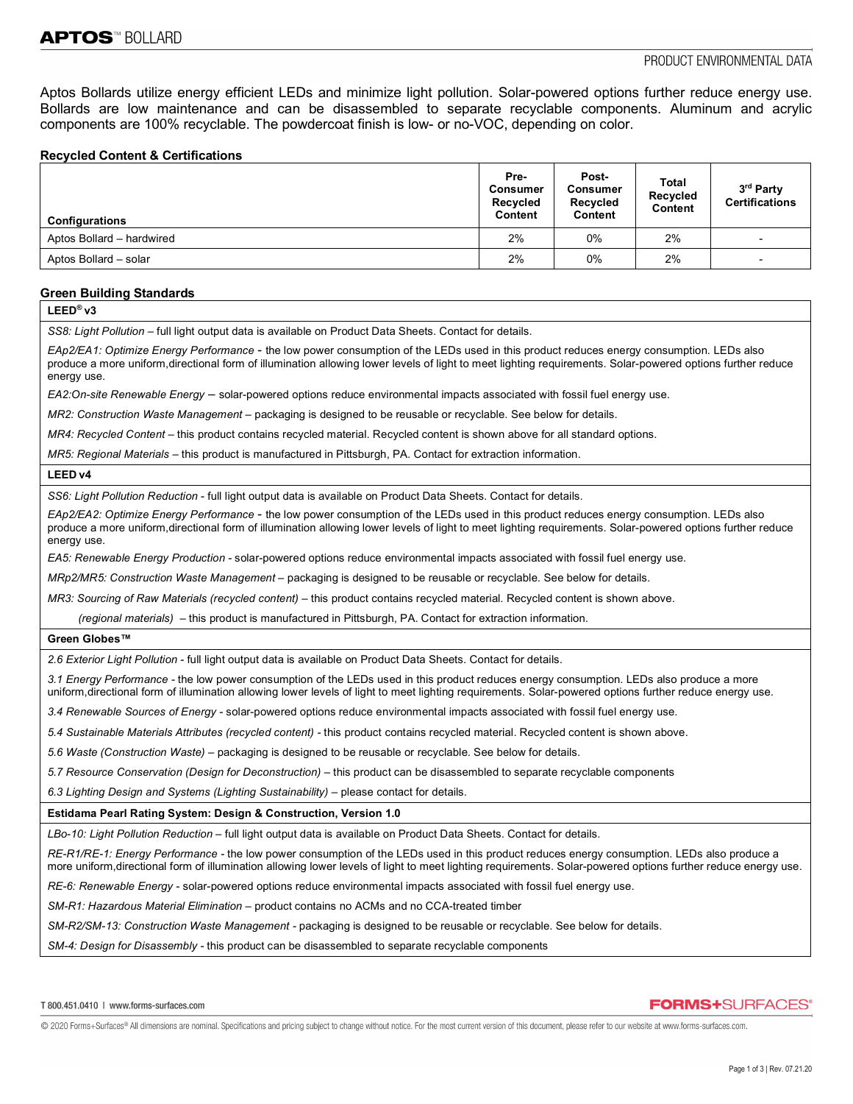Aptos Bollards utilize energy efficient LEDs and minimize light pollution. Solar-powered options further reduce energy use. Bollards are low maintenance and can be disassembled to separate recyclable components. Aluminum and acrylic components are 100% recyclable. The powdercoat finish is low- or no-VOC, depending on color.

### **Recycled Content & Certifications**

| <b>Configurations</b>     | Pre-<br>Consumer<br>Recycled<br>Content | Post-<br>Consumer<br>Recycled<br>Content | Total<br>Recycled<br>Content | 3rd Party<br><b>Certifications</b> |
|---------------------------|-----------------------------------------|------------------------------------------|------------------------------|------------------------------------|
| Aptos Bollard - hardwired | 2%                                      | 0%                                       | 2%                           |                                    |
| Aptos Bollard - solar     | 2%                                      | $0\%$                                    | 2%                           | $\overline{\phantom{0}}$           |

### **Green Building Standards**

## **LEED® v3**

*SS8: Light Pollution –* full light output data is available on Product Data Sheets. Contact for details.

*EAp2/EA1: Optimize Energy Performance* - the low power consumption of the LEDs used in this product reduces energy consumption. LEDs also produce a more uniform,directional form of illumination allowing lower levels of light to meet lighting requirements. Solar-powered options further reduce energy use.

*EA2:On-site Renewable Energy* – solar-powered options reduce environmental impacts associated with fossil fuel energy use.

*MR2: Construction Waste Management –* packaging is designed to be reusable or recyclable. See below for details.

*MR4: Recycled Content* – this product contains recycled material. Recycled content is shown above for all standard options.

*MR5: Regional Materials* – this product is manufactured in Pittsburgh, PA. Contact for extraction information.

#### **LEED v4**

*SS6: Light Pollution Reduction* - full light output data is available on Product Data Sheets. Contact for details.

*EAp2/EA2: Optimize Energy Performance* - the low power consumption of the LEDs used in this product reduces energy consumption. LEDs also produce a more uniform,directional form of illumination allowing lower levels of light to meet lighting requirements. Solar-powered options further reduce energy use.

*EA5: Renewable Energy Production -* solar-powered options reduce environmental impacts associated with fossil fuel energy use.

*MRp2/MR5: Construction Waste Management –* packaging is designed to be reusable or recyclable. See below for details.

*MR3: Sourcing of Raw Materials (recycled content) – this product contains recycled material. Recycled content is shown above.* 

 *(regional materials)* – this product is manufactured in Pittsburgh, PA. Contact for extraction information.

#### **Green Globes™**

*2.6 Exterior Light Pollution -* full light output data is available on Product Data Sheets. Contact for details.

*3.1 Energy Performance -* the low power consumption of the LEDs used in this product reduces energy consumption. LEDs also produce a more uniform,directional form of illumination allowing lower levels of light to meet lighting requirements. Solar-powered options further reduce energy use.

*3.4 Renewable Sources of Energy -* solar-powered options reduce environmental impacts associated with fossil fuel energy use.

*5.4 Sustainable Materials Attributes (recycled content) -* this product contains recycled material. Recycled content is shown above.

*5.6 Waste (Construction Waste)* – packaging is designed to be reusable or recyclable. See below for details.

*5.7 Resource Conservation (Design for Deconstruction) –* this product can be disassembled to separate recyclable components

*6.3 Lighting Design and Systems (Lighting Sustainability)* – please contact for details.

#### **Estidama Pearl Rating System: Design & Construction, Version 1.0**

*LBo-10: Light Pollution Reduction* – full light output data is available on Product Data Sheets. Contact for details.

*RE-R1/RE-1: Energy Performance -* the low power consumption of the LEDs used in this product reduces energy consumption. LEDs also produce a more uniform,directional form of illumination allowing lower levels of light to meet lighting requirements. Solar-powered options further reduce energy use.

*RE-6: Renewable Energy -* solar-powered options reduce environmental impacts associated with fossil fuel energy use.

*SM-R1: Hazardous Material Elimination –* product contains no ACMs and no CCA-treated timber

*SM-R2/SM-13: Construction Waste Management -* packaging is designed to be reusable or recyclable. See below for details.

*SM-4: Design for Disassembly -* this product can be disassembled to separate recyclable components

# **FORMS+SURFACES®**

@ 2020 Forms+Surfaces® All dimensions are nominal. Specifications and pricing subject to change without notice. For the most current version of this document, please refer to our website at www.forms-surfaces.com.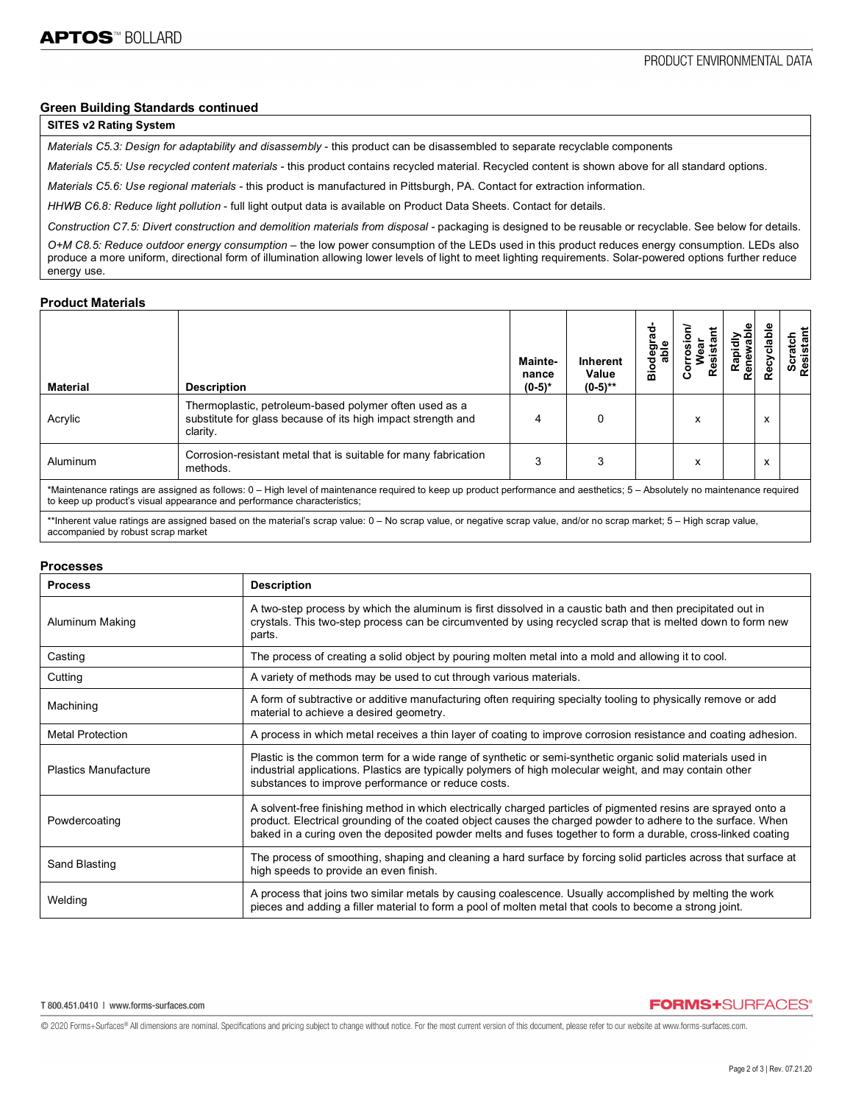### **Green Building Standards continued**

## **SITES v2 Rating System**

*Materials C5.3: Design for adaptability and disassembly* - this product can be disassembled to separate recyclable components

*Materials C5.5: Use recycled content materials -* this product contains recycled material. Recycled content is shown above for all standard options.

*Materials C5.6: Use regional materials -* this product is manufactured in Pittsburgh, PA. Contact for extraction information.

*HHWB C6.8: Reduce light pollution* - full light output data is available on Product Data Sheets. Contact for details.

*Construction C7.5: Divert construction and demolition materials from disposal -* packaging is designed to be reusable or recyclable. See below for details. *O+M C8.5: Reduce outdoor energy consumption* – the low power consumption of the LEDs used in this product reduces energy consumption. LEDs also produce a more uniform, directional form of illumination allowing lower levels of light to meet lighting requirements. Solar-powered options further reduce energy use.

### **Product Materials**

| <b>Material</b>                                                                                                                                                                                                                                       | <b>Description</b>                                                                                                                 | Mainte-<br>nance<br>$(0-5)^*$ | <b>Inherent</b><br>Value<br>$(0-5)$ ** | ත<br>ъ<br>å | esis | rapialy<br>Renewable<br>Rapidl | 용<br>σ | Scratch<br>Resistant |
|-------------------------------------------------------------------------------------------------------------------------------------------------------------------------------------------------------------------------------------------------------|------------------------------------------------------------------------------------------------------------------------------------|-------------------------------|----------------------------------------|-------------|------|--------------------------------|--------|----------------------|
| Acrylic                                                                                                                                                                                                                                               | Thermoplastic, petroleum-based polymer often used as a<br>substitute for glass because of its high impact strength and<br>clarity. | 4                             |                                        |             | x    |                                | x      |                      |
| Aluminum                                                                                                                                                                                                                                              | Corrosion-resistant metal that is suitable for many fabrication<br>methods.                                                        | 3                             |                                        |             | x    |                                | x      |                      |
| *Maintenance ratings are assigned as follows: 0 - High level of maintenance required to keep up product performance and aesthetics; 5 - Absolutely no maintenance required<br>to keep up product's visual appearance and performance characteristics; |                                                                                                                                    |                               |                                        |             |      |                                |        |                      |

'Inherent value ratings are assigned based on the material's scrap value: 0 – No scrap value, or negative scrap value, and/or no scrap market; 5 – High scrap value, accompanied by robust scrap market

#### **Processes**

| <b>Process</b>              | <b>Description</b>                                                                                                                                                                                                                                                                                                                            |
|-----------------------------|-----------------------------------------------------------------------------------------------------------------------------------------------------------------------------------------------------------------------------------------------------------------------------------------------------------------------------------------------|
| Aluminum Making             | A two-step process by which the aluminum is first dissolved in a caustic bath and then precipitated out in<br>crystals. This two-step process can be circumvented by using recycled scrap that is melted down to form new<br>parts.                                                                                                           |
| Casting                     | The process of creating a solid object by pouring molten metal into a mold and allowing it to cool.                                                                                                                                                                                                                                           |
| Cutting                     | A variety of methods may be used to cut through various materials.                                                                                                                                                                                                                                                                            |
| Machining                   | A form of subtractive or additive manufacturing often requiring specialty tooling to physically remove or add<br>material to achieve a desired geometry.                                                                                                                                                                                      |
| <b>Metal Protection</b>     | A process in which metal receives a thin layer of coating to improve corrosion resistance and coating adhesion.                                                                                                                                                                                                                               |
| <b>Plastics Manufacture</b> | Plastic is the common term for a wide range of synthetic or semi-synthetic organic solid materials used in<br>industrial applications. Plastics are typically polymers of high molecular weight, and may contain other<br>substances to improve performance or reduce costs.                                                                  |
| Powdercoating               | A solvent-free finishing method in which electrically charged particles of pigmented resins are sprayed onto a<br>product. Electrical grounding of the coated object causes the charged powder to adhere to the surface. When<br>baked in a curing oven the deposited powder melts and fuses together to form a durable, cross-linked coating |
| Sand Blasting               | The process of smoothing, shaping and cleaning a hard surface by forcing solid particles across that surface at<br>high speeds to provide an even finish.                                                                                                                                                                                     |
| Welding                     | A process that joins two similar metals by causing coalescence. Usually accomplished by melting the work<br>pieces and adding a filler material to form a pool of molten metal that cools to become a strong joint.                                                                                                                           |

**FORMS+SURFACES®** 

@ 2020 Forms+Surfaces® All dimensions are nominal. Specifications and pricing subject to change without notice. For the most current version of this document, please refer to our website at www.forms-surfaces.com.